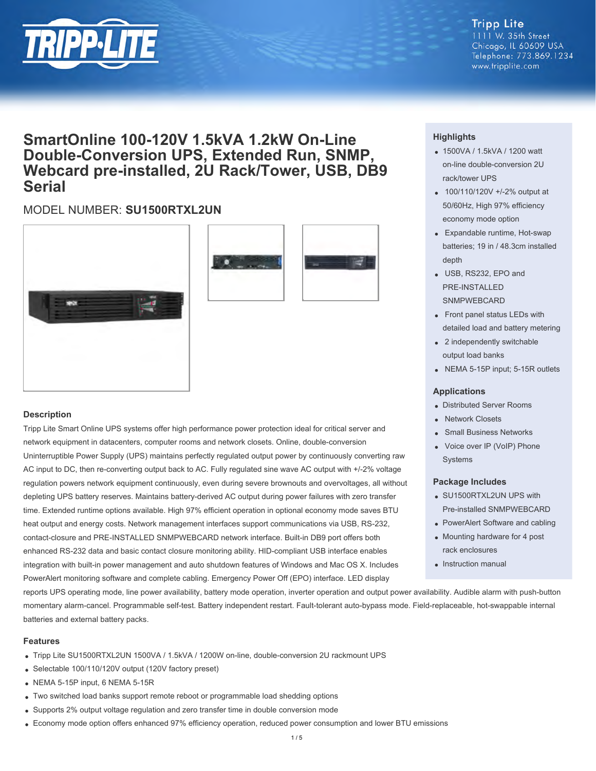

# **Tripp Lite**

1111 W. 35th Street Chicago, IL 60609 USA Telephone: 773.869.1234 www.tripplite.com

# **SmartOnline 100-120V 1.5kVA 1.2kW On-Line Double-Conversion UPS, Extended Run, SNMP, Webcard pre-installed, 2U Rack/Tower, USB, DB9 Serial**

## MODEL NUMBER: **SU1500RTXL2UN**





### **Description**

Tripp Lite Smart Online UPS systems offer high performance power protection ideal for critical server and network equipment in datacenters, computer rooms and network closets. Online, double-conversion Uninterruptible Power Supply (UPS) maintains perfectly regulated output power by continuously converting raw AC input to DC, then re-converting output back to AC. Fully regulated sine wave AC output with +/-2% voltage regulation powers network equipment continuously, even during severe brownouts and overvoltages, all without depleting UPS battery reserves. Maintains battery-derived AC output during power failures with zero transfer time. Extended runtime options available. High 97% efficient operation in optional economy mode saves BTU heat output and energy costs. Network management interfaces support communications via USB, RS-232, contact-closure and PRE-INSTALLED SNMPWEBCARD network interface. Built-in DB9 port offers both enhanced RS-232 data and basic contact closure monitoring ability. HID-compliant USB interface enables integration with built-in power management and auto shutdown features of Windows and Mac OS X. Includes PowerAlert monitoring software and complete cabling. Emergency Power Off (EPO) interface. LED display

## **Highlights**

- 1500VA / 1.5kVA / 1200 watt on-line double-conversion 2U rack/tower UPS
- 100/110/120V +/-2% output at 50/60Hz, High 97% efficiency economy mode option
- Expandable runtime, Hot-swap batteries; 19 in / 48.3cm installed depth
- USB, RS232, EPO and PRE-INSTALLED **SNMPWEBCARD**
- Front panel status LEDs with detailed load and battery metering
- 2 independently switchable output load banks
- NEMA 5-15P input; 5-15R outlets

#### **Applications**

- Distributed Server Rooms
- Network Closets
- Small Business Networks
- Voice over IP (VoIP) Phone Systems

#### **Package Includes**

- SU1500RTXL2UN UPS with Pre-installed SNMPWEBCARD
- PowerAlert Software and cabling
- Mounting hardware for 4 post rack enclosures
- **Instruction manual**

reports UPS operating mode, line power availability, battery mode operation, inverter operation and output power availability. Audible alarm with push-button momentary alarm-cancel. Programmable self-test. Battery independent restart. Fault-tolerant auto-bypass mode. Field-replaceable, hot-swappable internal batteries and external battery packs.

#### **Features**

- Tripp Lite SU1500RTXL2UN 1500VA / 1.5kVA / 1200W on-line, double-conversion 2U rackmount UPS
- Selectable 100/110/120V output (120V factory preset)
- NEMA 5-15P input, 6 NEMA 5-15R
- Two switched load banks support remote reboot or programmable load shedding options
- Supports 2% output voltage regulation and zero transfer time in double conversion mode
- Economy mode option offers enhanced 97% efficiency operation, reduced power consumption and lower BTU emissions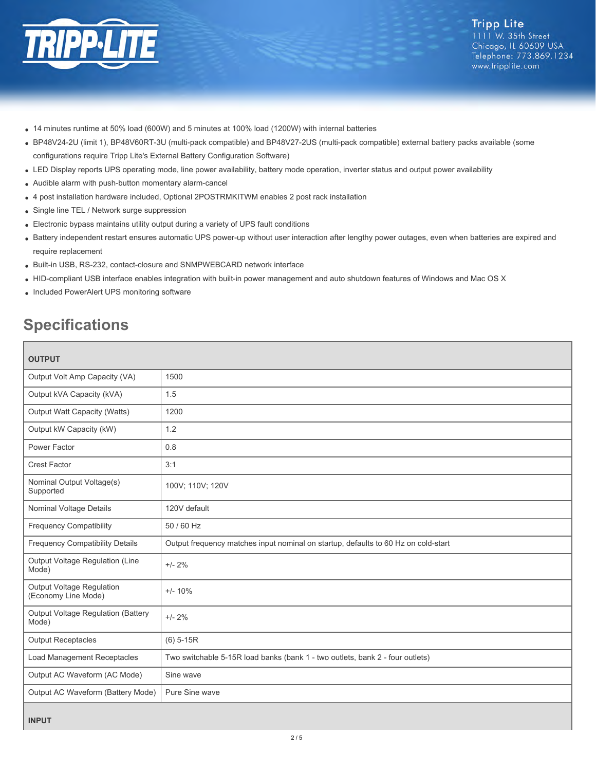

- 14 minutes runtime at 50% load (600W) and 5 minutes at 100% load (1200W) with internal batteries
- BP48V24-2U (limit 1), BP48V60RT-3U (multi-pack compatible) and BP48V27-2US (multi-pack compatible) external battery packs available (some configurations require Tripp Lite's External Battery Configuration Software)
- LED Display reports UPS operating mode, line power availability, battery mode operation, inverter status and output power availability
- Audible alarm with push-button momentary alarm-cancel
- 4 post installation hardware included, Optional 2POSTRMKITWM enables 2 post rack installation
- Single line TEL / Network surge suppression
- Electronic bypass maintains utility output during a variety of UPS fault conditions
- Battery independent restart ensures automatic UPS power-up without user interaction after lengthy power outages, even when batteries are expired and require replacement
- Built-in USB, RS-232, contact-closure and SNMPWEBCARD network interface
- HID-compliant USB interface enables integration with built-in power management and auto shutdown features of Windows and Mac OS X
- Included PowerAlert UPS monitoring software

# **Specifications**

| <b>OUTPUT</b>                                    |                                                                                    |
|--------------------------------------------------|------------------------------------------------------------------------------------|
| Output Volt Amp Capacity (VA)                    | 1500                                                                               |
| Output kVA Capacity (kVA)                        | 1.5                                                                                |
| <b>Output Watt Capacity (Watts)</b>              | 1200                                                                               |
| Output kW Capacity (kW)                          | 1.2                                                                                |
| Power Factor                                     | 0.8                                                                                |
| <b>Crest Factor</b>                              | 3:1                                                                                |
| Nominal Output Voltage(s)<br>Supported           | 100V; 110V; 120V                                                                   |
| Nominal Voltage Details                          | 120V default                                                                       |
| <b>Frequency Compatibility</b>                   | 50 / 60 Hz                                                                         |
| <b>Frequency Compatibility Details</b>           | Output frequency matches input nominal on startup, defaults to 60 Hz on cold-start |
| Output Voltage Regulation (Line<br>Mode)         | $+/- 2%$                                                                           |
| Output Voltage Regulation<br>(Economy Line Mode) | $+/- 10%$                                                                          |
| Output Voltage Regulation (Battery<br>Mode)      | $+/- 2%$                                                                           |
| <b>Output Receptacles</b>                        | $(6)$ 5-15R                                                                        |
| Load Management Receptacles                      | Two switchable 5-15R load banks (bank 1 - two outlets, bank 2 - four outlets)      |
| Output AC Waveform (AC Mode)                     | Sine wave                                                                          |
| Output AC Waveform (Battery Mode)                | Pure Sine wave                                                                     |
| <b>INPUT</b>                                     |                                                                                    |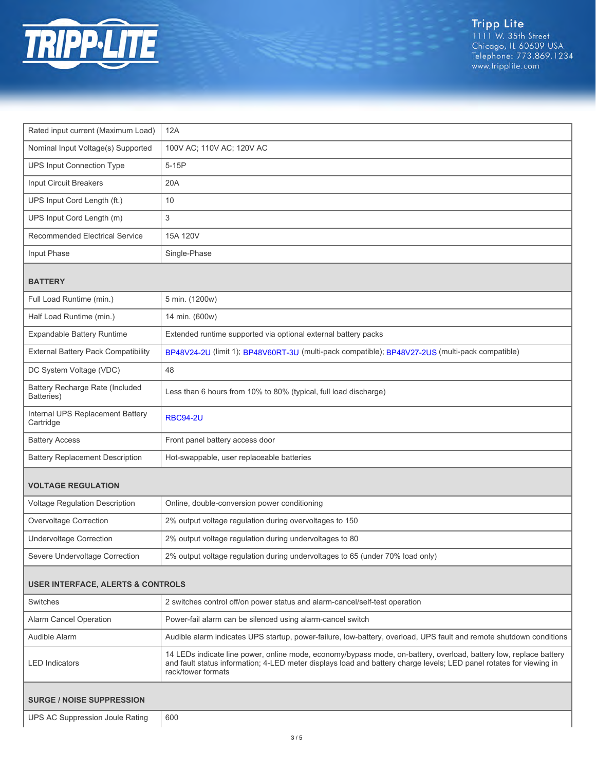

| Rated input current (Maximum Load)            | 12A                                                                                                                                                                                                                                                            |  |
|-----------------------------------------------|----------------------------------------------------------------------------------------------------------------------------------------------------------------------------------------------------------------------------------------------------------------|--|
| Nominal Input Voltage(s) Supported            | 100V AC; 110V AC; 120V AC                                                                                                                                                                                                                                      |  |
| <b>UPS Input Connection Type</b>              | 5-15P                                                                                                                                                                                                                                                          |  |
| Input Circuit Breakers                        | 20A                                                                                                                                                                                                                                                            |  |
| UPS Input Cord Length (ft.)                   | 10                                                                                                                                                                                                                                                             |  |
| UPS Input Cord Length (m)                     | 3                                                                                                                                                                                                                                                              |  |
| <b>Recommended Electrical Service</b>         | 15A 120V                                                                                                                                                                                                                                                       |  |
| Input Phase                                   | Single-Phase                                                                                                                                                                                                                                                   |  |
| <b>BATTERY</b>                                |                                                                                                                                                                                                                                                                |  |
| Full Load Runtime (min.)                      | 5 min. (1200w)                                                                                                                                                                                                                                                 |  |
| Half Load Runtime (min.)                      | 14 min. (600w)                                                                                                                                                                                                                                                 |  |
| Expandable Battery Runtime                    | Extended runtime supported via optional external battery packs                                                                                                                                                                                                 |  |
| <b>External Battery Pack Compatibility</b>    | BP48V24-2U (limit 1); BP48V60RT-3U (multi-pack compatible); BP48V27-2US (multi-pack compatible)                                                                                                                                                                |  |
| DC System Voltage (VDC)                       | 48                                                                                                                                                                                                                                                             |  |
| Battery Recharge Rate (Included<br>Batteries) | Less than 6 hours from 10% to 80% (typical, full load discharge)                                                                                                                                                                                               |  |
| Internal UPS Replacement Battery<br>Cartridge | <b>RBC94-2U</b>                                                                                                                                                                                                                                                |  |
| <b>Battery Access</b>                         | Front panel battery access door                                                                                                                                                                                                                                |  |
| <b>Battery Replacement Description</b>        | Hot-swappable, user replaceable batteries                                                                                                                                                                                                                      |  |
| <b>VOLTAGE REGULATION</b>                     |                                                                                                                                                                                                                                                                |  |
| Voltage Regulation Description                | Online, double-conversion power conditioning                                                                                                                                                                                                                   |  |
| Overvoltage Correction                        | 2% output voltage regulation during overvoltages to 150                                                                                                                                                                                                        |  |
| <b>Undervoltage Correction</b>                | 2% output voltage regulation during undervoltages to 80                                                                                                                                                                                                        |  |
| Severe Undervoltage Correction                | 2% output voltage regulation during undervoltages to 65 (under 70% load only)                                                                                                                                                                                  |  |
| <b>USER INTERFACE, ALERTS &amp; CONTROLS</b>  |                                                                                                                                                                                                                                                                |  |
| Switches                                      | 2 switches control off/on power status and alarm-cancel/self-test operation                                                                                                                                                                                    |  |
| Alarm Cancel Operation                        | Power-fail alarm can be silenced using alarm-cancel switch                                                                                                                                                                                                     |  |
| Audible Alarm                                 | Audible alarm indicates UPS startup, power-failure, low-battery, overload, UPS fault and remote shutdown conditions                                                                                                                                            |  |
| <b>LED</b> Indicators                         | 14 LEDs indicate line power, online mode, economy/bypass mode, on-battery, overload, battery low, replace battery<br>and fault status information; 4-LED meter displays load and battery charge levels; LED panel rotates for viewing in<br>rack/tower formats |  |
| <b>SURGE / NOISE SUPPRESSION</b>              |                                                                                                                                                                                                                                                                |  |
| UPS AC Suppression Joule Rating               | 600                                                                                                                                                                                                                                                            |  |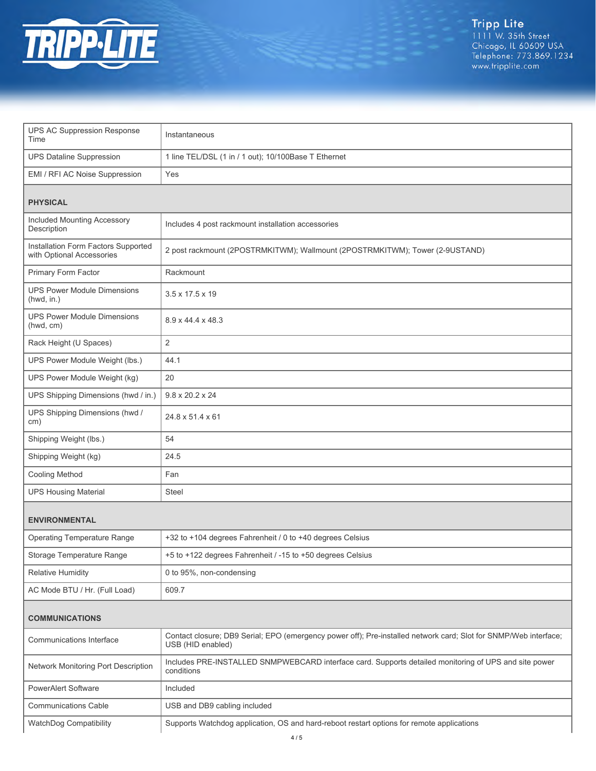

Tripp Lite<br>1111 W. 35th Street<br>Chicago, IL 60609 USA<br>Telephone: 773.869.1234<br>www.tripplite.com

| <b>UPS AC Suppression Response</b><br>Time                       | Instantaneous                                                                                                                         |  |
|------------------------------------------------------------------|---------------------------------------------------------------------------------------------------------------------------------------|--|
| <b>UPS Dataline Suppression</b>                                  | 1 line TEL/DSL (1 in / 1 out); 10/100Base T Ethernet                                                                                  |  |
| EMI / RFI AC Noise Suppression                                   | Yes                                                                                                                                   |  |
| <b>PHYSICAL</b>                                                  |                                                                                                                                       |  |
| Included Mounting Accessory<br>Description                       | Includes 4 post rackmount installation accessories                                                                                    |  |
| Installation Form Factors Supported<br>with Optional Accessories | 2 post rackmount (2POSTRMKITWM); Wallmount (2POSTRMKITWM); Tower (2-9USTAND)                                                          |  |
| Primary Form Factor                                              | Rackmount                                                                                                                             |  |
| <b>UPS Power Module Dimensions</b><br>(hwd, in.)                 | $3.5 \times 17.5 \times 19$                                                                                                           |  |
| <b>UPS Power Module Dimensions</b><br>(hwd, cm)                  | 8.9 x 44.4 x 48.3                                                                                                                     |  |
| Rack Height (U Spaces)                                           | $\overline{2}$                                                                                                                        |  |
| UPS Power Module Weight (lbs.)                                   | 44.1                                                                                                                                  |  |
| UPS Power Module Weight (kg)                                     | 20                                                                                                                                    |  |
| UPS Shipping Dimensions (hwd / in.)                              | $9.8 \times 20.2 \times 24$                                                                                                           |  |
| UPS Shipping Dimensions (hwd /<br>cm)                            | 24.8 x 51.4 x 61                                                                                                                      |  |
| Shipping Weight (lbs.)                                           | 54                                                                                                                                    |  |
| Shipping Weight (kg)                                             | 24.5                                                                                                                                  |  |
| <b>Cooling Method</b>                                            | Fan                                                                                                                                   |  |
| <b>UPS Housing Material</b>                                      | <b>Steel</b>                                                                                                                          |  |
| <b>ENVIRONMENTAL</b>                                             |                                                                                                                                       |  |
| <b>Operating Temperature Range</b>                               | +32 to +104 degrees Fahrenheit / 0 to +40 degrees Celsius                                                                             |  |
| Storage Temperature Range                                        | +5 to +122 degrees Fahrenheit / -15 to +50 degrees Celsius                                                                            |  |
| <b>Relative Humidity</b>                                         | 0 to 95%, non-condensing                                                                                                              |  |
| AC Mode BTU / Hr. (Full Load)                                    | 609.7                                                                                                                                 |  |
| <b>COMMUNICATIONS</b>                                            |                                                                                                                                       |  |
| Communications Interface                                         | Contact closure; DB9 Serial; EPO (emergency power off); Pre-installed network card; Slot for SNMP/Web interface;<br>USB (HID enabled) |  |
| Network Monitoring Port Description                              | Includes PRE-INSTALLED SNMPWEBCARD interface card. Supports detailed monitoring of UPS and site power<br>conditions                   |  |
| <b>PowerAlert Software</b>                                       | Included                                                                                                                              |  |
| <b>Communications Cable</b>                                      | USB and DB9 cabling included                                                                                                          |  |
| WatchDog Compatibility                                           | Supports Watchdog application, OS and hard-reboot restart options for remote applications                                             |  |